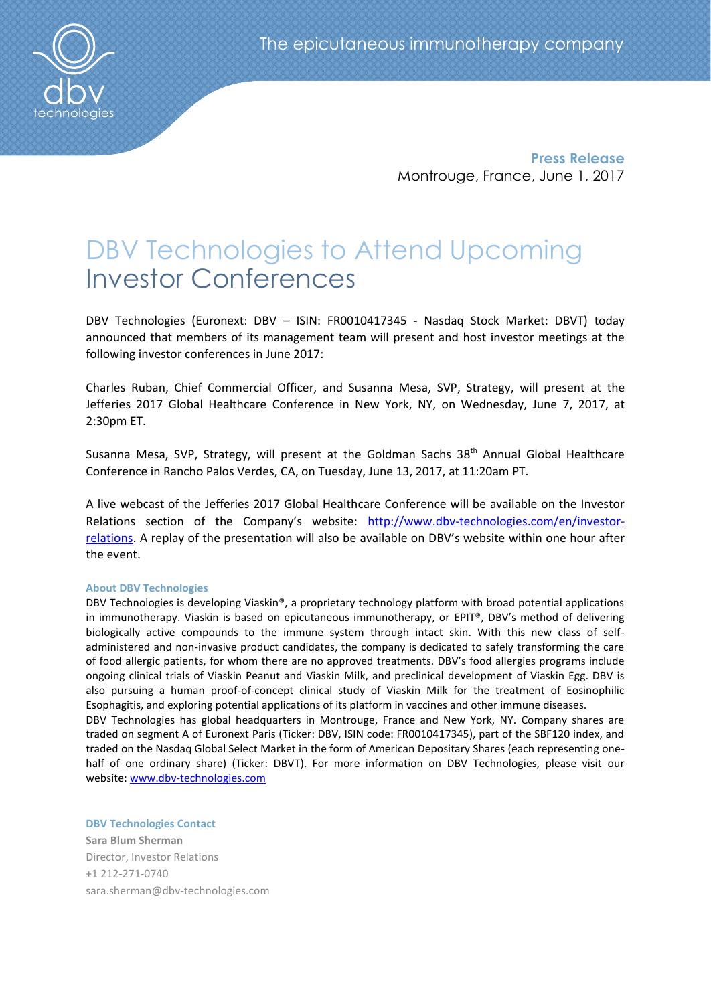

**Press Release** Montrouge, France, June 1, 2017

## DBV Technologies to Attend Upcoming Investor Conferences

DBV Technologies (Euronext: DBV – ISIN: FR0010417345 - Nasdaq Stock Market: DBVT) today announced that members of its management team will present and host investor meetings at the following investor conferences in June 2017:

Charles Ruban, Chief Commercial Officer, and Susanna Mesa, SVP, Strategy, will present at the Jefferies 2017 Global Healthcare Conference in New York, NY, on Wednesday, June 7, 2017, at 2:30pm ET.

Susanna Mesa, SVP, Strategy, will present at the Goldman Sachs 38<sup>th</sup> Annual Global Healthcare Conference in Rancho Palos Verdes, CA, on Tuesday, June 13, 2017, at 11:20am PT.

A live webcast of the Jefferies 2017 Global Healthcare Conference will be available on the Investor Relations section of the Company's website: [http://www.dbv-technologies.com/en/investor](http://www.dbv-technologies.com/en/investor-relations)[relations.](http://www.dbv-technologies.com/en/investor-relations) A replay of the presentation will also be available on DBV's website within one hour after the event.

## **About DBV Technologies**

DBV Technologies is developing Viaskin®, a proprietary technology platform with broad potential applications in immunotherapy. Viaskin is based on epicutaneous immunotherapy, or EPIT®, DBV's method of delivering biologically active compounds to the immune system through intact skin. With this new class of selfadministered and non-invasive product candidates, the company is dedicated to safely transforming the care of food allergic patients, for whom there are no approved treatments. DBV's food allergies programs include ongoing clinical trials of Viaskin Peanut and Viaskin Milk, and preclinical development of Viaskin Egg. DBV is also pursuing a human proof-of-concept clinical study of Viaskin Milk for the treatment of Eosinophilic Esophagitis, and exploring potential applications of its platform in vaccines and other immune diseases.

DBV Technologies has global headquarters in Montrouge, France and New York, NY. Company shares are traded on segment A of Euronext Paris (Ticker: DBV, ISIN code: FR0010417345), part of the SBF120 index, and traded on the Nasdaq Global Select Market in the form of American Depositary Shares (each representing onehalf of one ordinary share) (Ticker: DBVT). For more information on DBV Technologies, please visit our website: [www.dbv-technologies.com](http://www.dbv-technologies.com/)

**DBV Technologies Contact Sara Blum Sherman** Director, Investor Relations +1 212-271-0740 [sara.sherman@dbv-technologies.com](mailto:susanna.mesa@dbv-technologies.com)